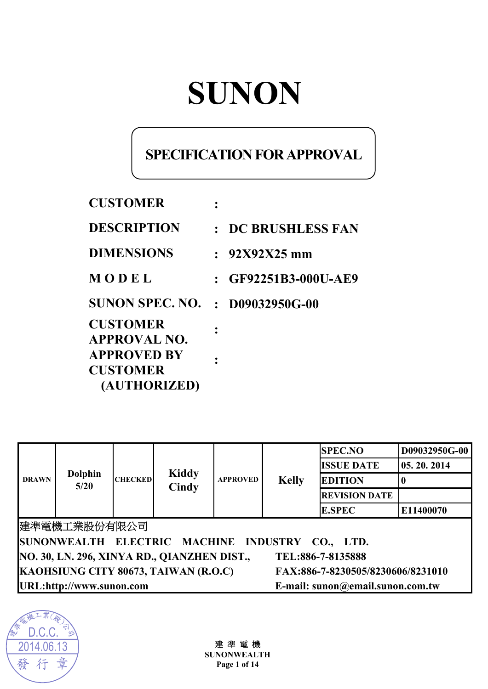# **SUNON**

# **SPECIFICATION FOR APPROVAL**

| <b>CUSTOMER</b>                                       |                        |
|-------------------------------------------------------|------------------------|
| <b>DESCRIPTION</b>                                    | : DC BRUSHLESS FAN     |
| <b>DIMENSIONS</b>                                     | $: 92X92X25$ mm        |
| MODEL                                                 | $:$ GF92251B3-000U-AE9 |
| SUNON SPEC. NO.                                       | $: D09032950G-00$      |
| <b>CUSTOMER</b><br><b>APPROVAL NO.</b>                |                        |
| <b>APPROVED BY</b><br><b>CUSTOMER</b><br>(AUTHORIZED) |                        |

| <b>DRAWN</b>                                                              | <b>Dolphin</b><br>5/20 | <b>CHECKED</b> | <b>Kiddy</b><br>Cindy | <b>APPROVED</b> | <b>Kelly</b> | <b>SPEC.NO</b>       | D09032950G-00 |
|---------------------------------------------------------------------------|------------------------|----------------|-----------------------|-----------------|--------------|----------------------|---------------|
|                                                                           |                        |                |                       |                 |              | <b>ISSUE DATE</b>    | 05.20.2014    |
|                                                                           |                        |                |                       |                 |              | <b>EDITION</b>       |               |
|                                                                           |                        |                |                       |                 |              | <b>REVISION DATE</b> |               |
|                                                                           |                        |                |                       |                 |              | <b>E.SPEC</b>        | E11400070     |
|                                                                           | 建準電機工業股份有限公司           |                |                       |                 |              |                      |               |
| SUNONWEALTH ELECTRIC MACHINE INDUSTRY CO., LTD.                           |                        |                |                       |                 |              |                      |               |
| NO. 30, LN. 296, XINYA RD., QIANZHEN DIST.,<br>TEL:886-7-8135888          |                        |                |                       |                 |              |                      |               |
| KAOHSIUNG CITY 80673, TAIWAN (R.O.C)<br>FAX:886-7-8230505/8230606/8231010 |                        |                |                       |                 |              |                      |               |
| URL:http://www.sunon.com<br>E-mail: sunon@email.sunon.com.tw              |                        |                |                       |                 |              |                      |               |



建 準 電 機 **SUNONWEALTH Page 1 of 14**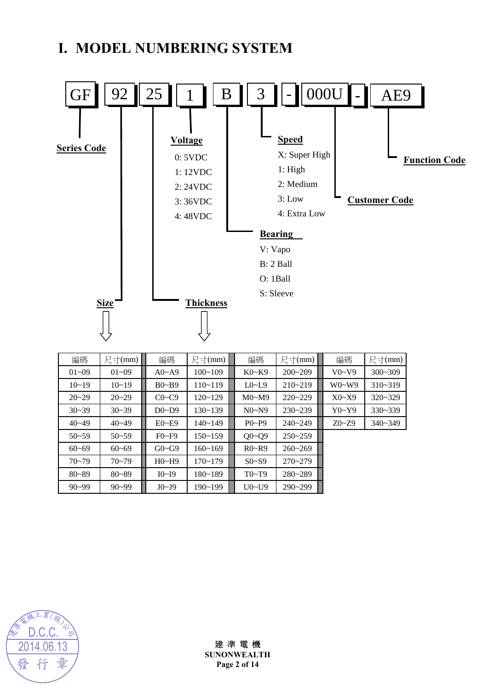# **I. MODEL NUMBERING SYSTEM**



| 編碼        | 尺寸(mm)    | 編碼           | 尺寸(mm)      | 編碼             | 尺寸(mm)      | 編碼        | 尺寸(mm)      |
|-----------|-----------|--------------|-------------|----------------|-------------|-----------|-------------|
| $01 - 09$ | $01 - 09$ | $A0 - A9$    | $100 - 109$ | $K0-K9$        | $200 - 209$ | V0~V9     | $300 - 309$ |
| $10 - 19$ | $10 - 19$ | $B0 - B9$    | $110 - 119$ | $L0$ ~ $L9$    | $210 - 219$ | $W0-W9$   | $310 - 319$ |
| $20 - 29$ | $20 - 29$ | $C0 \sim C9$ | $120 - 129$ | M0~M9          | $220 - 229$ | X0~X9     | $320 - 329$ |
| $30 - 39$ | $30 - 39$ | $D0\neg D9$  | 130~139     | N0~N9          | $230 - 239$ | Y0~Y9     | $330 - 339$ |
| $40 - 49$ | $40 - 49$ | $E0 - E9$    | $140 - 149$ | $P_0 \sim P_9$ | $240 - 249$ | $Z0 - Z9$ | $340 - 349$ |
| $50 - 59$ | $50 - 59$ | $F0-F9$      | 150~159     | $Q0 - Q9$      | $250 - 259$ |           |             |
| $60 - 69$ | $60 - 69$ | $G0 \sim G9$ | $160 - 169$ | R0~R9          | $260 - 269$ |           |             |
| $70 - 79$ | $70 - 79$ | H0~H9        | $170 - 179$ | $S0- S9$       | $270 - 279$ |           |             |
| $80 - 89$ | $80 - 89$ | I0~I9        | 180~189     | T0~T9          | 280~289     |           |             |
| $90 - 99$ | $90 - 99$ | J0~J9        | 190~199     | $U0-V9$        | $290 - 299$ |           |             |



## 建 準 電 機

**SUNONWEALTH Page 2 of 14**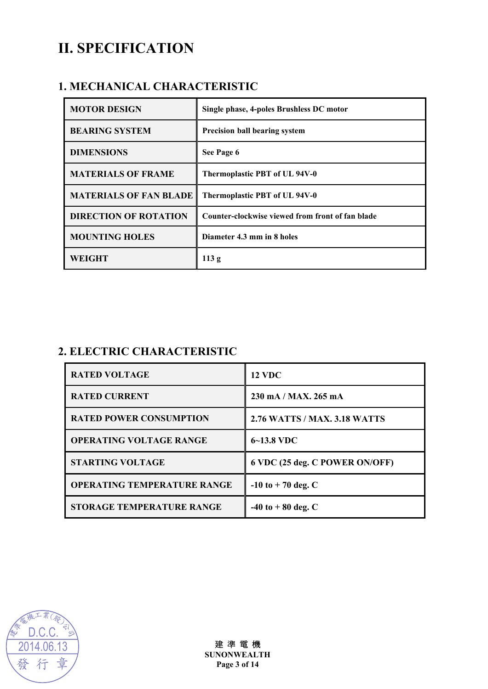# **II. SPECIFICATION**

## **1. MECHANICAL CHARACTERISTIC**

| <b>MOTOR DESIGN</b>           | Single phase, 4-poles Brushless DC motor         |
|-------------------------------|--------------------------------------------------|
| <b>BEARING SYSTEM</b>         | <b>Precision ball bearing system</b>             |
| <b>DIMENSIONS</b>             | See Page 6                                       |
| <b>MATERIALS OF FRAME</b>     | Thermoplastic PBT of UL 94V-0                    |
| <b>MATERIALS OF FAN BLADE</b> | Thermoplastic PBT of UL 94V-0                    |
| <b>DIRECTION OF ROTATION</b>  | Counter-clockwise viewed from front of fan blade |
| <b>MOUNTING HOLES</b>         | Diameter 4.3 mm in 8 holes                       |
| WEIGHT                        | 113g                                             |

## **2. ELECTRIC CHARACTERISTIC**

| <b>RATED VOLTAGE</b>               | <b>12 VDC</b>                  |
|------------------------------------|--------------------------------|
| <b>RATED CURRENT</b>               | 230 mA/MAX. 265 mA             |
| <b>RATED POWER CONSUMPTION</b>     | 2.76 WATTS / MAX. 3.18 WATTS   |
| <b>OPERATING VOLTAGE RANGE</b>     | $6 - 13.8$ VDC                 |
| <b>STARTING VOLTAGE</b>            | 6 VDC (25 deg. C POWER ON/OFF) |
| <b>OPERATING TEMPERATURE RANGE</b> | $-10$ to $+70$ deg. C          |
| <b>STORAGE TEMPERATURE RANGE</b>   | $-40$ to $+80$ deg. C          |

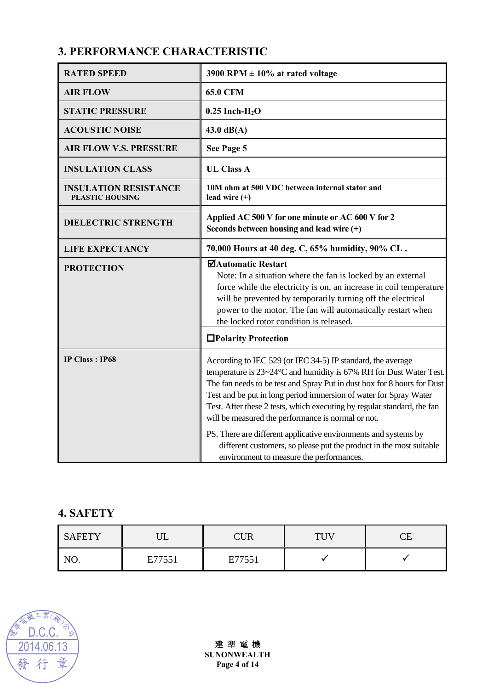## **3. PERFORMANCE CHARACTERISTIC**

| <b>RATED SPEED</b>                                     | 3900 RPM $\pm$ 10% at rated voltage                                                                                                                                                                                                                                                                                                                                                                                                                                                                                                                                                                      |  |
|--------------------------------------------------------|----------------------------------------------------------------------------------------------------------------------------------------------------------------------------------------------------------------------------------------------------------------------------------------------------------------------------------------------------------------------------------------------------------------------------------------------------------------------------------------------------------------------------------------------------------------------------------------------------------|--|
| <b>AIR FLOW</b>                                        | <b>65.0 CFM</b>                                                                                                                                                                                                                                                                                                                                                                                                                                                                                                                                                                                          |  |
| <b>STATIC PRESSURE</b>                                 | $0.25$ Inch-H <sub>2</sub> O                                                                                                                                                                                                                                                                                                                                                                                                                                                                                                                                                                             |  |
| <b>ACOUSTIC NOISE</b>                                  | $43.0 \text{ dB}(A)$                                                                                                                                                                                                                                                                                                                                                                                                                                                                                                                                                                                     |  |
| <b>AIR FLOW V.S. PRESSURE</b>                          | See Page 5                                                                                                                                                                                                                                                                                                                                                                                                                                                                                                                                                                                               |  |
| <b>INSULATION CLASS</b>                                | <b>UL Class A</b>                                                                                                                                                                                                                                                                                                                                                                                                                                                                                                                                                                                        |  |
| <b>INSULATION RESISTANCE</b><br><b>PLASTIC HOUSING</b> | 10M ohm at 500 VDC between internal stator and<br>lead wire $(+)$                                                                                                                                                                                                                                                                                                                                                                                                                                                                                                                                        |  |
| <b>DIELECTRIC STRENGTH</b>                             | Applied AC 500 V for one minute or AC 600 V for 2<br>Seconds between housing and lead wire $(+)$                                                                                                                                                                                                                                                                                                                                                                                                                                                                                                         |  |
| <b>LIFE EXPECTANCY</b>                                 | 70,000 Hours at 40 deg. C, 65% humidity, 90% CL.                                                                                                                                                                                                                                                                                                                                                                                                                                                                                                                                                         |  |
| <b>PROTECTION</b>                                      | ⊠Automatic Restart<br>Note: In a situation where the fan is locked by an external<br>force while the electricity is on, an increase in coil temperature<br>will be prevented by temporarily turning off the electrical<br>power to the motor. The fan will automatically restart when<br>the locked rotor condition is released.                                                                                                                                                                                                                                                                         |  |
|                                                        | □Polarity Protection                                                                                                                                                                                                                                                                                                                                                                                                                                                                                                                                                                                     |  |
| <b>IP Class: IP68</b>                                  | According to IEC 529 (or IEC 34-5) IP standard, the average<br>temperature is 23~24°C and humidity is 67% RH for Dust Water Test.<br>The fan needs to be test and Spray Put in dust box for 8 hours for Dust<br>Test and be put in long period immersion of water for Spray Water<br>Test. After these 2 tests, which executing by regular standard, the fan<br>will be measured the performance is normal or not.<br>PS. There are different applicative environments and systems by<br>different customers, so please put the product in the most suitable<br>environment to measure the performances. |  |

## **4. SAFETY**

| <b>SAFETY</b> | ◡◡                        | <b>CUR</b> | TT<br>$\cdot$ U $\cdot$ | $\sim$ $\sim$<br>⊣<br>◡◡ |
|---------------|---------------------------|------------|-------------------------|--------------------------|
| $-$<br>110.   | $\Gamma$ 77551<br>7 J J T | E77551     |                         |                          |

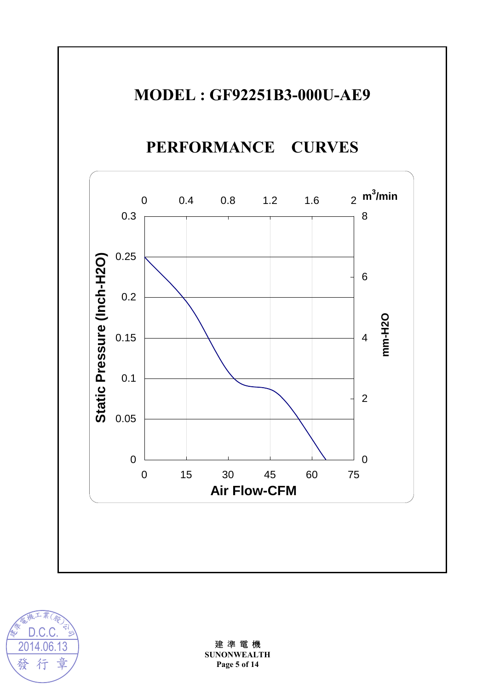

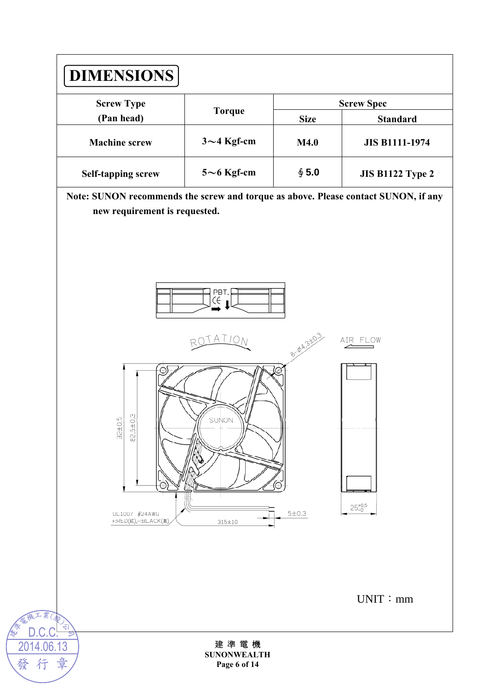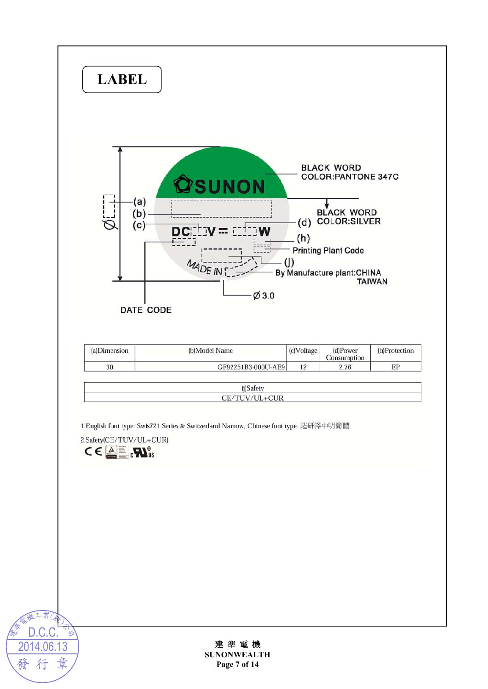

**Page 7 of 14** 

發

豈

仃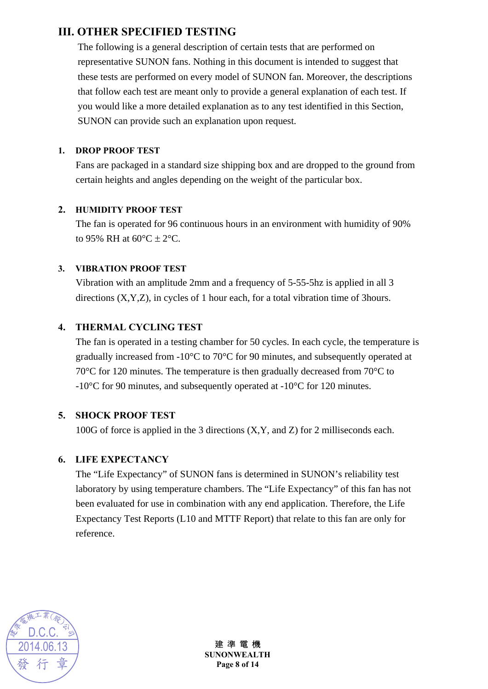## **III. OTHER SPECIFIED TESTING**

The following is a general description of certain tests that are performed on representative SUNON fans. Nothing in this document is intended to suggest that these tests are performed on every model of SUNON fan. Moreover, the descriptions that follow each test are meant only to provide a general explanation of each test. If you would like a more detailed explanation as to any test identified in this Section, SUNON can provide such an explanation upon request.

#### **1. DROP PROOF TEST**

Fans are packaged in a standard size shipping box and are dropped to the ground from certain heights and angles depending on the weight of the particular box.

#### **2. HUMIDITY PROOF TEST**

The fan is operated for 96 continuous hours in an environment with humidity of 90% to 95% RH at  $60^{\circ}$ C  $\pm$  2°C.

#### **3. VIBRATION PROOF TEST**

Vibration with an amplitude 2mm and a frequency of 5-55-5hz is applied in all 3 directions (X,Y,Z), in cycles of 1 hour each, for a total vibration time of 3hours.

#### **4. THERMAL CYCLING TEST**

The fan is operated in a testing chamber for 50 cycles. In each cycle, the temperature is gradually increased from -10°C to 70°C for 90 minutes, and subsequently operated at 70°C for 120 minutes. The temperature is then gradually decreased from 70°C to -10°C for 90 minutes, and subsequently operated at -10°C for 120 minutes.

#### **5. SHOCK PROOF TEST**

100G of force is applied in the 3 directions (X,Y, and Z) for 2 milliseconds each.

#### **6. LIFE EXPECTANCY**

The "Life Expectancy" of SUNON fans is determined in SUNON's reliability test laboratory by using temperature chambers. The "Life Expectancy" of this fan has not been evaluated for use in combination with any end application. Therefore, the Life Expectancy Test Reports (L10 and MTTF Report) that relate to this fan are only for reference.



建 準 電 機 **SUNONWEALTH Page 8 of 14**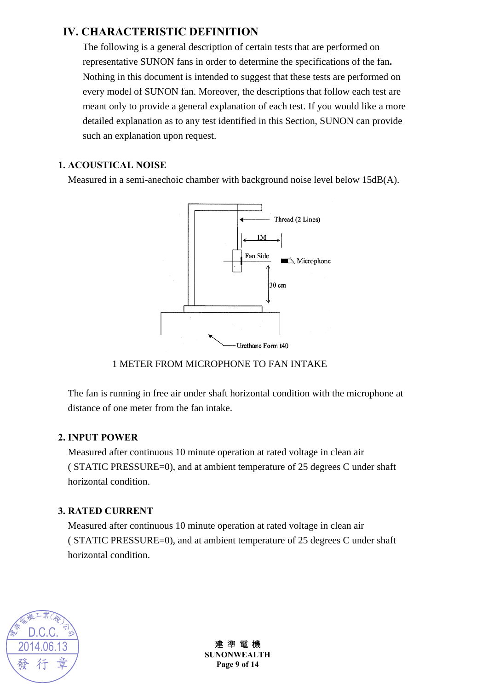## **IV. CHARACTERISTIC DEFINITION**

The following is a general description of certain tests that are performed on representative SUNON fans in order to determine the specifications of the fan**.** Nothing in this document is intended to suggest that these tests are performed on every model of SUNON fan. Moreover, the descriptions that follow each test are meant only to provide a general explanation of each test. If you would like a more detailed explanation as to any test identified in this Section, SUNON can provide such an explanation upon request.

#### **1. ACOUSTICAL NOISE**

Measured in a semi-anechoic chamber with background noise level below 15dB(A).



#### 1 METER FROM MICROPHONE TO FAN INTAKE

The fan is running in free air under shaft horizontal condition with the microphone at distance of one meter from the fan intake.

#### **2. INPUT POWER**

Measured after continuous 10 minute operation at rated voltage in clean air ( STATIC PRESSURE=0), and at ambient temperature of 25 degrees C under shaft horizontal condition.

#### **3. RATED CURRENT**

Measured after continuous 10 minute operation at rated voltage in clean air ( STATIC PRESSURE=0), and at ambient temperature of 25 degrees C under shaft horizontal condition.



建 準 電 機 **SUNONWEALTH Page 9 of 14**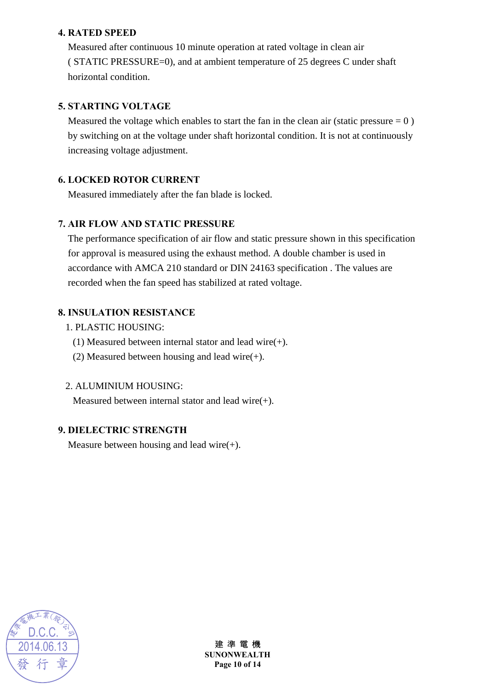#### **4. RATED SPEED**

Measured after continuous 10 minute operation at rated voltage in clean air ( STATIC PRESSURE=0), and at ambient temperature of 25 degrees C under shaft horizontal condition.

#### **5. STARTING VOLTAGE**

Measured the voltage which enables to start the fan in the clean air (static pressure  $= 0$ ) by switching on at the voltage under shaft horizontal condition. It is not at continuously increasing voltage adjustment.

#### **6. LOCKED ROTOR CURRENT**

Measured immediately after the fan blade is locked.

#### **7. AIR FLOW AND STATIC PRESSURE**

The performance specification of air flow and static pressure shown in this specification for approval is measured using the exhaust method. A double chamber is used in accordance with AMCA 210 standard or DIN 24163 specification . The values are recorded when the fan speed has stabilized at rated voltage.

#### **8. INSULATION RESISTANCE**

- 1. PLASTIC HOUSING:
	- (1) Measured between internal stator and lead wire(+).
	- (2) Measured between housing and lead wire(+).

#### 2. ALUMINIUM HOUSING:

Measured between internal stator and lead wire $(+)$ .

#### **9. DIELECTRIC STRENGTH**

Measure between housing and lead wire $(+)$ .



建 準 電 機 **SUNONWEALTH Page 10 of 14**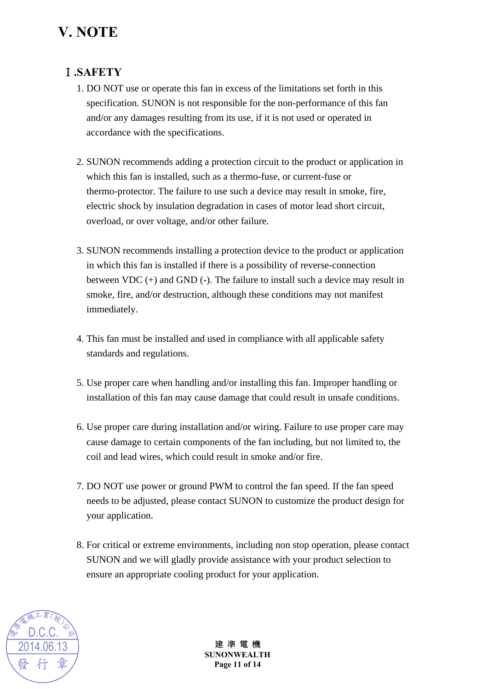# **V. NOTE**

## Ⅰ**.SAFETY**

- 1. DO NOT use or operate this fan in excess of the limitations set forth in this specification. SUNON is not responsible for the non-performance of this fan and/or any damages resulting from its use, if it is not used or operated in accordance with the specifications.
- 2. SUNON recommends adding a protection circuit to the product or application in which this fan is installed, such as a thermo-fuse, or current-fuse or thermo-protector. The failure to use such a device may result in smoke, fire, electric shock by insulation degradation in cases of motor lead short circuit, overload, or over voltage, and/or other failure.
- 3. SUNON recommends installing a protection device to the product or application in which this fan is installed if there is a possibility of reverse-connection between VDC (+) and GND (-). The failure to install such a device may result in smoke, fire, and/or destruction, although these conditions may not manifest immediately.
- 4. This fan must be installed and used in compliance with all applicable safety standards and regulations.
- 5. Use proper care when handling and/or installing this fan. Improper handling or installation of this fan may cause damage that could result in unsafe conditions.
- 6. Use proper care during installation and/or wiring. Failure to use proper care may cause damage to certain components of the fan including, but not limited to, the coil and lead wires, which could result in smoke and/or fire.
- 7. DO NOT use power or ground PWM to control the fan speed. If the fan speed needs to be adjusted, please contact SUNON to customize the product design for your application.
- 8. For critical or extreme environments, including non stop operation, please contact SUNON and we will gladly provide assistance with your product selection to ensure an appropriate cooling product for your application.



建 準 電 機 **SUNONWEALTH Page 11 of 14**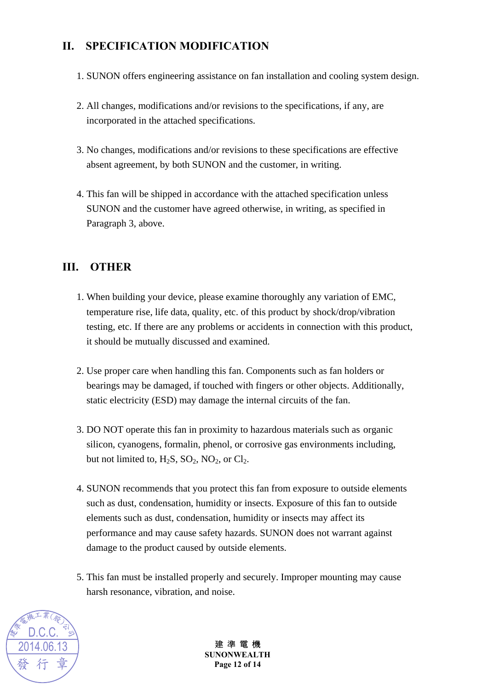## **II. SPECIFICATION MODIFICATION**

- 1. SUNON offers engineering assistance on fan installation and cooling system design.
- 2. All changes, modifications and/or revisions to the specifications, if any, are incorporated in the attached specifications.
- 3. No changes, modifications and/or revisions to these specifications are effective absent agreement, by both SUNON and the customer, in writing.
- 4. This fan will be shipped in accordance with the attached specification unless SUNON and the customer have agreed otherwise, in writing, as specified in Paragraph 3, above.

### **III. OTHER**

- 1. When building your device, please examine thoroughly any variation of EMC, temperature rise, life data, quality, etc. of this product by shock/drop/vibration testing, etc. If there are any problems or accidents in connection with this product, it should be mutually discussed and examined.
- 2. Use proper care when handling this fan. Components such as fan holders or bearings may be damaged, if touched with fingers or other objects. Additionally, static electricity (ESD) may damage the internal circuits of the fan.
- 3. DO NOT operate this fan in proximity to hazardous materials such as organic silicon, cyanogens, formalin, phenol, or corrosive gas environments including, but not limited to,  $H_2S$ ,  $SO_2$ ,  $NO_2$ , or  $Cl_2$ .
- 4. SUNON recommends that you protect this fan from exposure to outside elements such as dust, condensation, humidity or insects. Exposure of this fan to outside elements such as dust, condensation, humidity or insects may affect its performance and may cause safety hazards. SUNON does not warrant against damage to the product caused by outside elements.
- 5. This fan must be installed properly and securely. Improper mounting may cause harsh resonance, vibration, and noise.



建 進 雷 機 **SUNONWEALTH Page 12 of 14**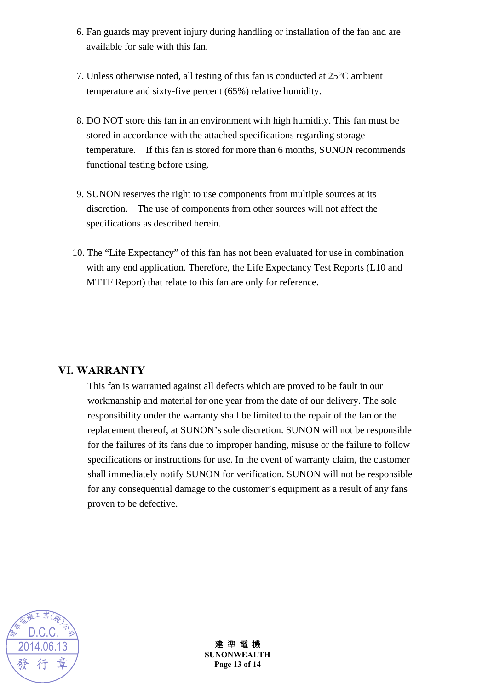- 6. Fan guards may prevent injury during handling or installation of the fan and are available for sale with this fan.
- 7. Unless otherwise noted, all testing of this fan is conducted at 25°C ambient temperature and sixty-five percent (65%) relative humidity.
- 8. DO NOT store this fan in an environment with high humidity. This fan must be stored in accordance with the attached specifications regarding storage temperature. If this fan is stored for more than 6 months, SUNON recommends functional testing before using.
- 9. SUNON reserves the right to use components from multiple sources at its discretion. The use of components from other sources will not affect the specifications as described herein.
- 10. The "Life Expectancy" of this fan has not been evaluated for use in combination with any end application. Therefore, the Life Expectancy Test Reports (L10 and MTTF Report) that relate to this fan are only for reference.

#### **VI. WARRANTY**

This fan is warranted against all defects which are proved to be fault in our workmanship and material for one year from the date of our delivery. The sole responsibility under the warranty shall be limited to the repair of the fan or the replacement thereof, at SUNON's sole discretion. SUNON will not be responsible for the failures of its fans due to improper handing, misuse or the failure to follow specifications or instructions for use. In the event of warranty claim, the customer shall immediately notify SUNON for verification. SUNON will not be responsible for any consequential damage to the customer's equipment as a result of any fans proven to be defective.



建 準 電 機 **SUNONWEALTH Page 13 of 14**